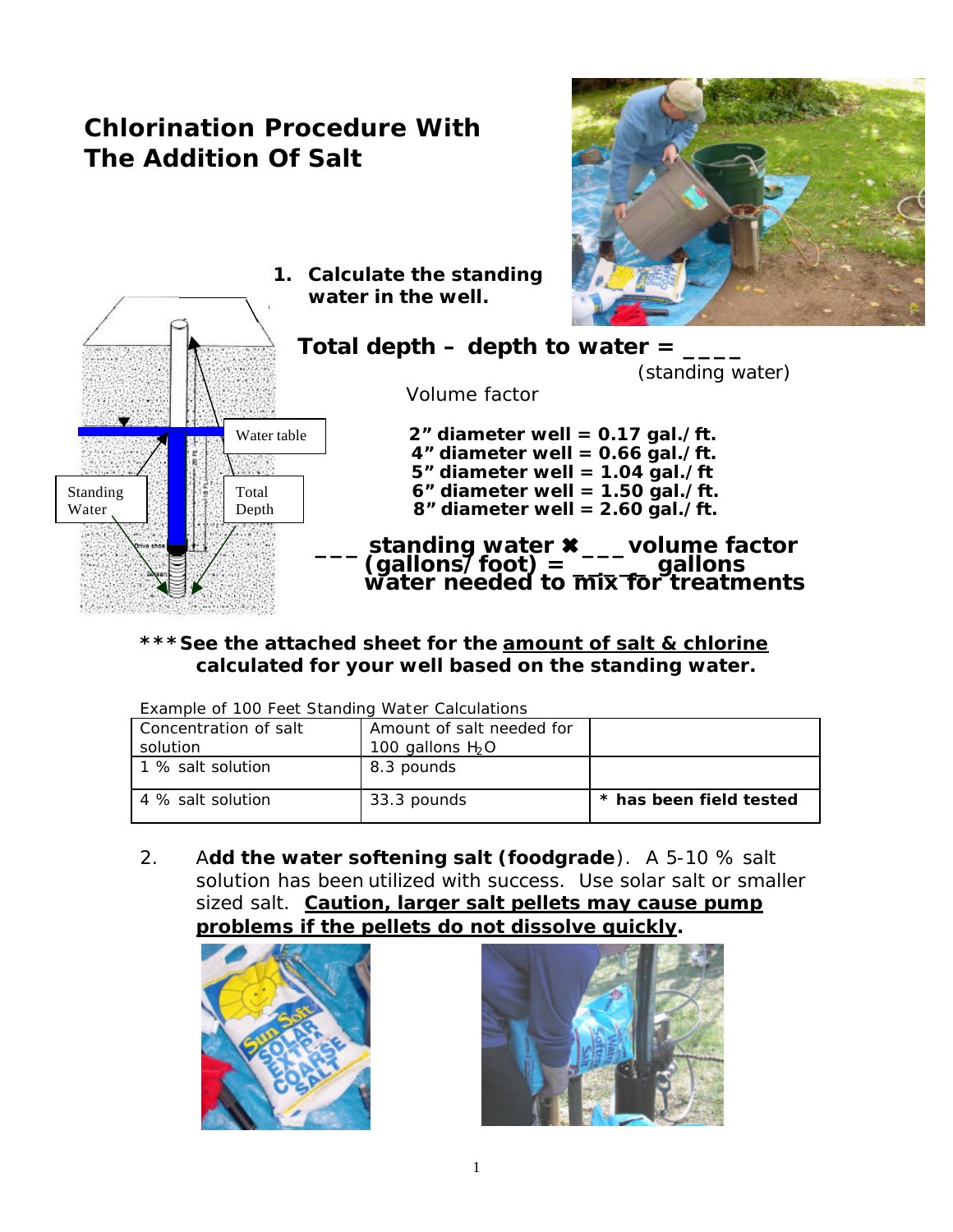# **Chlorination Procedure With The Addition Of Salt**



**1. Calculate the standing water in the well.**



**\*\*\*See the attached sheet for the amount of salt & chlorine calculated for your well based on the standing water.**

| Example of 100 Feet Standing Water Calculations |                           |                         |  |
|-------------------------------------------------|---------------------------|-------------------------|--|
| Concentration of salt                           | Amount of salt needed for |                         |  |
| solution                                        | 100 gallons $H_2O$        |                         |  |
| 1 % salt solution                               | 8.3 pounds                |                         |  |
| 4 % salt solution                               | 33.3 pounds               | * has been field tested |  |

2. A**dd the water softening salt (foodgrade**). A 5-10 % salt solution has been utilized with success. Use solar salt or smaller sized salt. **Caution, larger salt pellets may cause pump problems if the pellets do not dissolve quickly.**



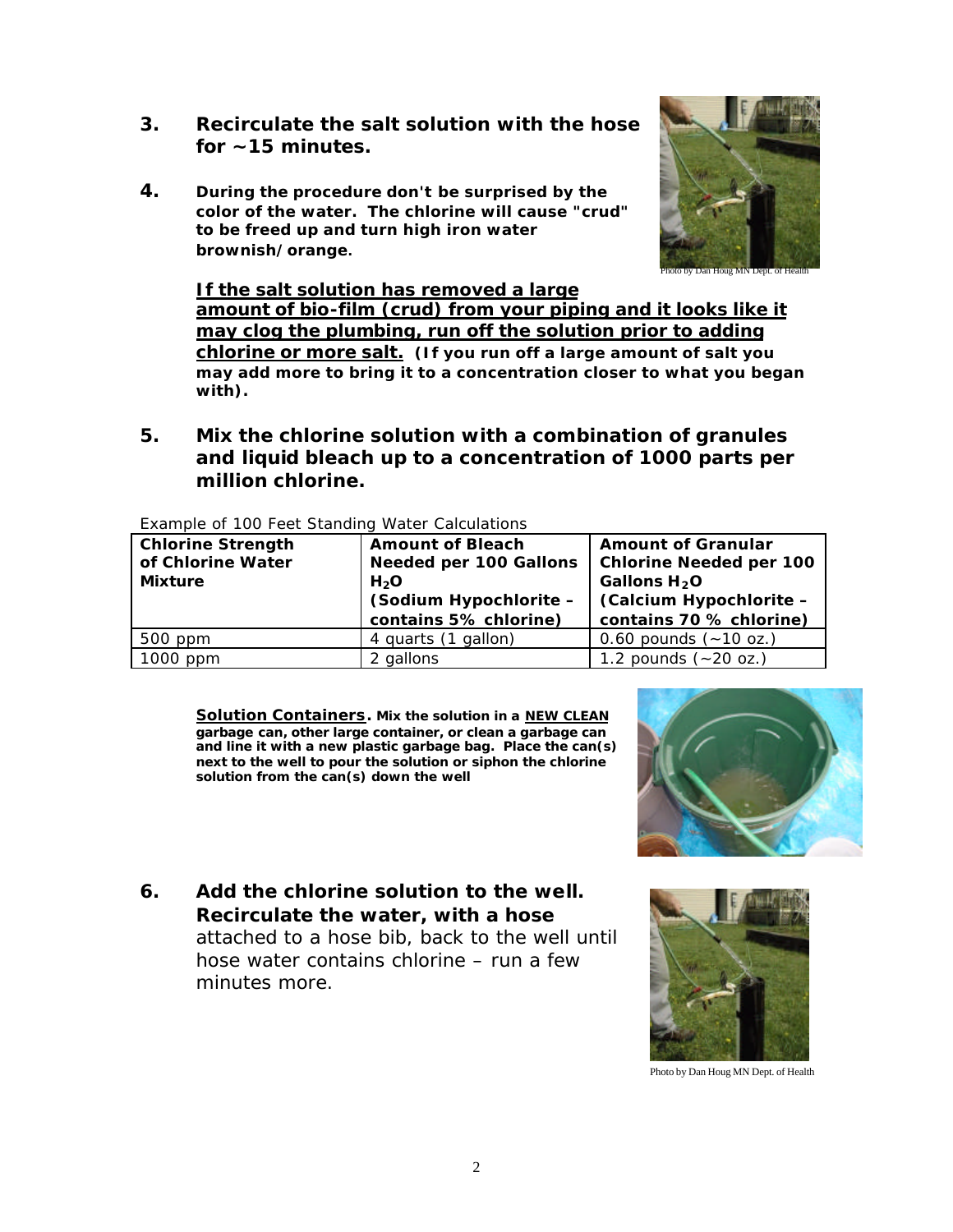- **3. Recirculate the salt solution with the hose for ~15 minutes.**
- **4. During the procedure don't be surprised by the color of the water. The chlorine will cause "crud" to be freed up and turn high iron water brownish/orange.**



an Houg MN Dept. o

**If the salt solution has removed a large amount of bio-film (crud) from your piping and it looks like it may clog the plumbing, run off the solution prior to adding chlorine or more salt. (If you run off a large amount of salt you may add more to bring it to a concentration closer to what you began with).** 

**5. Mix the chlorine solution with a combination of granules and liquid bleach up to a concentration of 1000 parts per million chlorine.**

| <b>Chlorine Strength</b><br>of Chlorine Water<br><b>Mixture</b> | <b>Amount of Bleach</b><br><b>Needed per 100 Gallons</b><br>H <sub>2</sub> O | <b>Amount of Granular</b><br><b>Chlorine Needed per 100</b><br>Gallons H <sub>2</sub> O |
|-----------------------------------------------------------------|------------------------------------------------------------------------------|-----------------------------------------------------------------------------------------|
|                                                                 | (Sodium Hypochlorite -                                                       | (Calcium Hypochlorite -                                                                 |
|                                                                 | contains 5% chlorine)                                                        | contains 70 % chlorine)                                                                 |
| 500 ppm                                                         | 4 quarts (1 gallon)                                                          | 0.60 pounds $(-10 oz.)$                                                                 |
| $1000$ ppm                                                      | 2 gallons                                                                    | 1.2 pounds $(-20 oz.)$                                                                  |

Example of 100 Feet Standing Water Calculations

**Solution Containers. Mix the solution in a NEW CLEAN garbage can, other large container, or clean a garbage can and line it with a new plastic garbage bag. Place the can(s) next to the well to pour the solution or siphon the chlorine solution from the can(s) down the well** 

**6. Add the chlorine solution to the well. Recirculate the water, with a hose** attached to a hose bib, back to the well until hose water contains chlorine – run a few minutes more.





Photo by Dan Houg MN Dept. of Health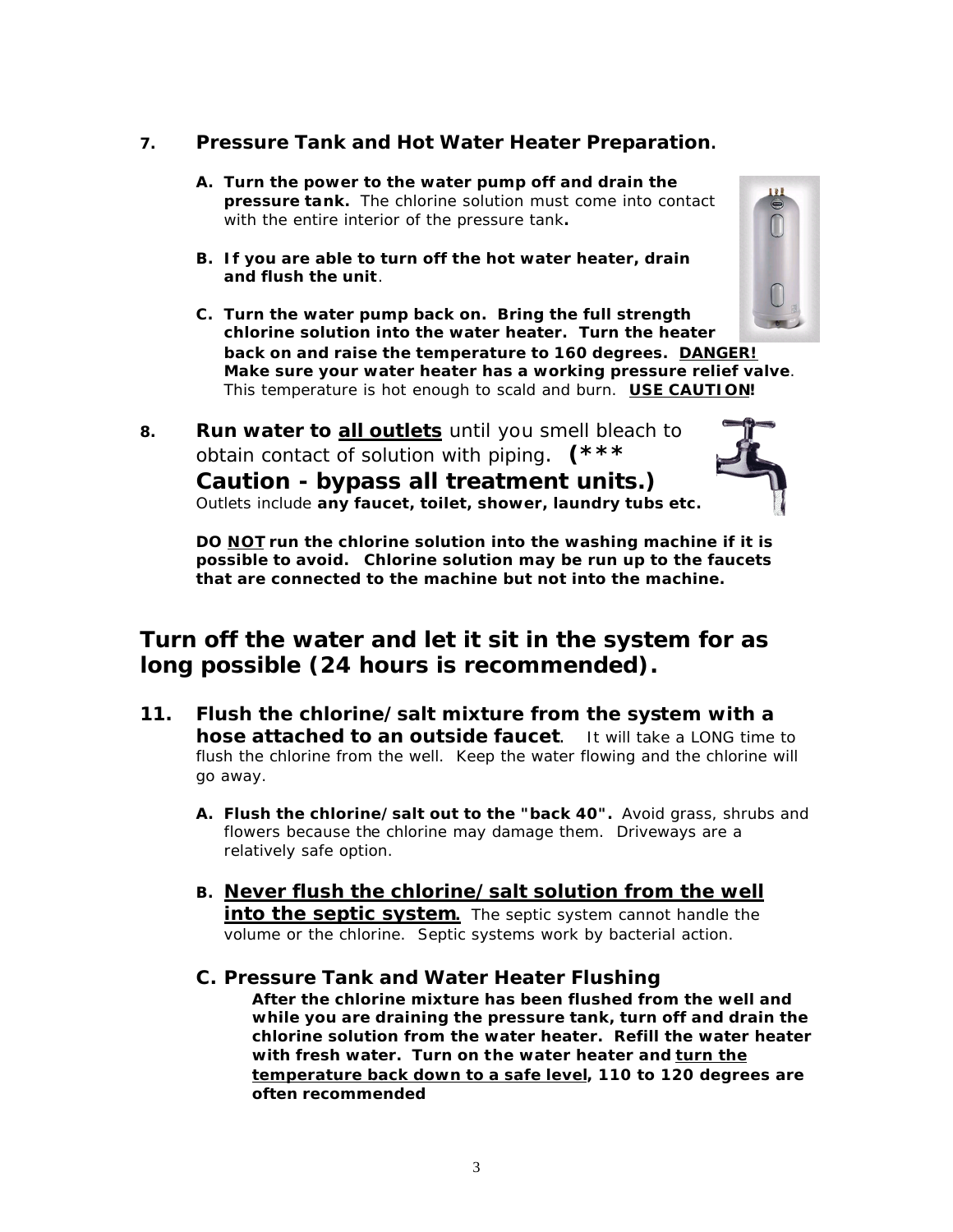#### **7. Pressure Tank and Hot Water Heater Preparation.**

- **A. Turn the power to the water pump off and drain the pressure tank.** The chlorine solution must come into contact with the entire interior of the pressure tank**.**
- **B. If you are able to turn off the hot water heater, drain and flush the unit**.
- **C. Turn the water pump back on. Bring the full strength chlorine solution into the water heater. Turn the heater back on and raise the temperature to 160 degrees. DANGER! Make sure your water heater has a working pressure relief valve**. This temperature is hot enough to scald and burn. **USE CAUTION!**
- **8. Run water to all outlets** until you smell bleach to obtain contact of solution with piping. **(\*\*\* Caution - bypass all treatment units.)** Outlets include **any faucet, toilet, shower, laundry tubs etc.**



**DO NOT run the chlorine solution into the washing machine if it is possible to avoid. Chlorine solution may be run up to the faucets that are connected to the machine but not into the machine.** 

### **Turn off the water and let it sit in the system for as long possible (24 hours is recommended).**

- **11. Flush the chlorine/salt mixture from the system with a hose attached to an outside faucet**. It will take a LONG time to flush the chlorine from the well. Keep the water flowing and the chlorine will go away.
	- **A. Flush the chlorine/salt out to the "back 40".** Avoid grass, shrubs and flowers because the chlorine may damage them. Driveways are a relatively safe option.
	- **B. Never flush the chlorine/salt solution from the well into the septic system.** The septic system cannot handle the volume or the chlorine. Septic systems work by bacterial action.
	- **C. Pressure Tank and Water Heater Flushing After the chlorine mixture has been flushed from the well and while you are draining the pressure tank, turn off and drain the chlorine solution from the water heater. Refill the water heater with fresh water. Turn on the water heater and turn the temperature back down to a safe level, 110 to 120 degrees are often recommended**